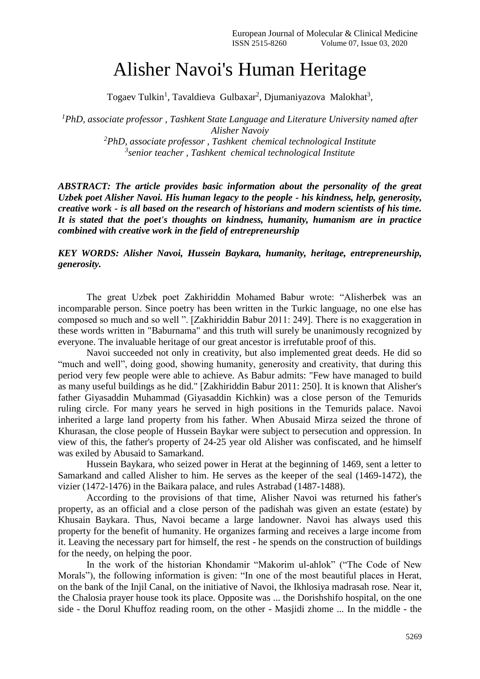## Alisher Navoi's Human Heritage

Togaev Tulkin<sup>1</sup>, Tavaldieva Gulbaxar<sup>2</sup>, Djumaniyazova Malokhat<sup>3</sup>,

*<sup>1</sup>PhD, associate professor , Tashkent State Language and Literature University named after Alisher Navoiy*

*<sup>2</sup>PhD, associate professor , Tashkent chemical technological Institute 3 senior teacher , Tashkent chemical technological Institute*

*ABSTRACT: The article provides basic information about the personality of the great Uzbek poet Alisher Navoi. His human legacy to the people - his kindness, help, generosity, creative work - is all based on the research of historians and modern scientists of his time. It is stated that the poet's thoughts on kindness, humanity, humanism are in practice combined with creative work in the field of entrepreneurship*

## *KEY WORDS: Alisher Navoi, Hussein Baykara, humanity, heritage, entrepreneurship, generosity.*

The great Uzbek poet Zakhiriddin Mohamed Babur wrote: "Alisherbek was an incomparable person. Since poetry has been written in the Turkic language, no one else has composed so much and so well ". [Zakhiriddin Babur 2011: 249]. There is no exaggeration in these words written in "Baburnama" and this truth will surely be unanimously recognized by everyone. The invaluable heritage of our great ancestor is irrefutable proof of this.

Navoi succeeded not only in creativity, but also implemented great deeds. He did so "much and well", doing good, showing humanity, generosity and creativity, that during this period very few people were able to achieve. As Babur admits: "Few have managed to build as many useful buildings as he did." [Zakhiriddin Babur 2011: 250]. It is known that Alisher's father Giyasaddin Muhammad (Giyasaddin Kichkin) was a close person of the Temurids ruling circle. For many years he served in high positions in the Temurids palace. Navoi inherited a large land property from his father. When Abusaid Mirza seized the throne of Khurasan, the close people of Hussein Baykar were subject to persecution and oppression. In view of this, the father's property of 24-25 year old Alisher was confiscated, and he himself was exiled by Abusaid to Samarkand.

Hussein Baykara, who seized power in Herat at the beginning of 1469, sent a letter to Samarkand and called Alisher to him. He serves as the keeper of the seal (1469-1472), the vizier (1472-1476) in the Baikara palace, and rules Astrabad (1487-1488).

According to the provisions of that time, Alisher Navoi was returned his father's property, as an official and a close person of the padishah was given an estate (estate) by Khusain Baykara. Thus, Navoi became a large landowner. Navoi has always used this property for the benefit of humanity. He organizes farming and receives a large income from it. Leaving the necessary part for himself, the rest - he spends on the construction of buildings for the needy, on helping the poor.

In the work of the historian Khondamir "Makorim ul-ahlok" ("The Code of New Morals"), the following information is given: "In one of the most beautiful places in Herat, on the bank of the Injil Canal, on the initiative of Navoi, the Ikhlosiya madrasah rose. Near it, the Chalosia prayer house took its place. Opposite was ... the Dorishshifo hospital, on the one side - the Dorul Khuffoz reading room, on the other - Masjidi zhome ... In the middle - the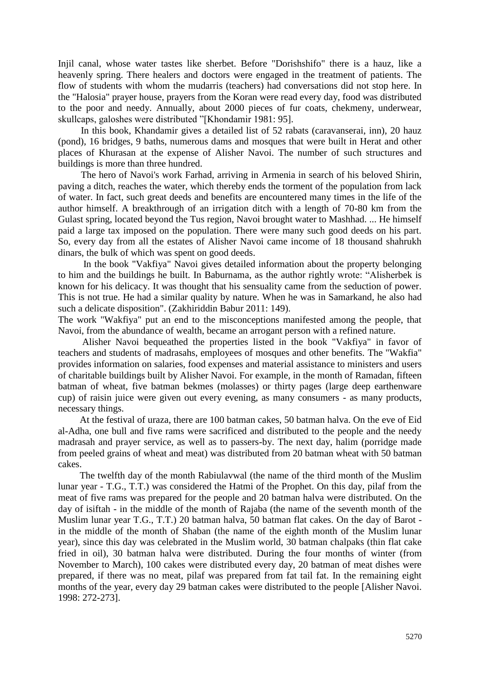Injil canal, whose water tastes like sherbet. Before "Dorishshifo" there is a hauz, like a heavenly spring. There healers and doctors were engaged in the treatment of patients. The flow of students with whom the mudarris (teachers) had conversations did not stop here. In the "Halosia" prayer house, prayers from the Koran were read every day, food was distributed to the poor and needy. Annually, about 2000 pieces of fur coats, chekmeny, underwear, skullcaps, galoshes were distributed "[Khondamir 1981: 95].

In this book, Khandamir gives a detailed list of 52 rabats (caravanserai, inn), 20 hauz (pond), 16 bridges, 9 baths, numerous dams and mosques that were built in Herat and other places of Khurasan at the expense of Alisher Navoi. The number of such structures and buildings is more than three hundred.

The hero of Navoi's work Farhad, arriving in Armenia in search of his beloved Shirin, paving a ditch, reaches the water, which thereby ends the torment of the population from lack of water. In fact, such great deeds and benefits are encountered many times in the life of the author himself. A breakthrough of an irrigation ditch with a length of 70-80 km from the Gulast spring, located beyond the Tus region, Navoi brought water to Mashhad. ... He himself paid a large tax imposed on the population. There were many such good deeds on his part. So, every day from all the estates of Alisher Navoi came income of 18 thousand shahrukh dinars, the bulk of which was spent on good deeds.

In the book "Vakfiya" Navoi gives detailed information about the property belonging to him and the buildings he built. In Baburnama, as the author rightly wrote: "Alisherbek is known for his delicacy. It was thought that his sensuality came from the seduction of power. This is not true. He had a similar quality by nature. When he was in Samarkand, he also had such a delicate disposition". (Zakhiriddin Babur 2011: 149).

The work "Wakfiya" put an end to the misconceptions manifested among the people, that Navoi, from the abundance of wealth, became an arrogant person with a refined nature.

 Alisher Navoi bequeathed the properties listed in the book "Vakfiya" in favor of teachers and students of madrasahs, employees of mosques and other benefits. The "Wakfia" provides information on salaries, food expenses and material assistance to ministers and users of charitable buildings built by Alisher Navoi. For example, in the month of Ramadan, fifteen batman of wheat, five batman bekmes (molasses) or thirty pages (large deep earthenware cup) of raisin juice were given out every evening, as many consumers - as many products, necessary things.

At the festival of uraza, there are 100 batman cakes, 50 batman halva. On the eve of Eid al-Adha, one bull and five rams were sacrificed and distributed to the people and the needy madrasah and prayer service, as well as to passers-by. The next day, halim (porridge made from peeled grains of wheat and meat) was distributed from 20 batman wheat with 50 batman cakes.

The twelfth day of the month Rabiulavwal (the name of the third month of the Muslim lunar year - T.G., T.T.) was considered the Hatmi of the Prophet. On this day, pilaf from the meat of five rams was prepared for the people and 20 batman halva were distributed. On the day of isiftah - in the middle of the month of Rajaba (the name of the seventh month of the Muslim lunar year T.G., T.T.) 20 batman halva, 50 batman flat cakes. On the day of Barot in the middle of the month of Shaban (the name of the eighth month of the Muslim lunar year), since this day was celebrated in the Muslim world, 30 batman chalpaks (thin flat cake fried in oil), 30 batman halva were distributed. During the four months of winter (from November to March), 100 cakes were distributed every day, 20 batman of meat dishes were prepared, if there was no meat, pilaf was prepared from fat tail fat. In the remaining eight months of the year, every day 29 batman cakes were distributed to the people [Alisher Navoi. 1998: 272-273].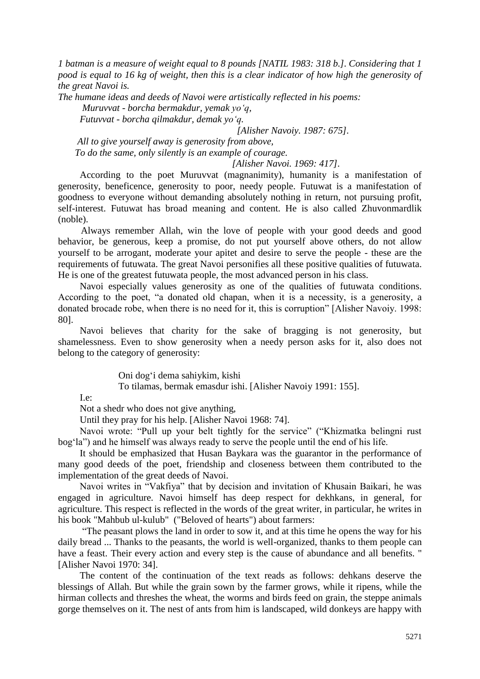*1 batman is a measure of weight equal to 8 pounds [NATIL 1983: 318 b.]. Considering that 1 pood is equal to 16 kg of weight, then this is a clear indicator of how high the generosity of the great Navoi is.*

*The humane ideas and deeds of Navoi were artistically reflected in his poems: Muruvvat - borcha bermakdur, yemak yo'q,*

 *Futuvvat - borcha qilmakdur, demak yo'q.*

 *[Alisher Navoiy. 1987: 675].*

 *All to give yourself away is generosity from above,*

 *To do the same, only silently is an example of courage.*

 *[Alisher Navoi. 1969: 417].*

According to the poet Muruvvat (magnanimity), humanity is a manifestation of generosity, beneficence, generosity to poor, needy people. Futuwat is a manifestation of goodness to everyone without demanding absolutely nothing in return, not pursuing profit, self-interest. Futuwat has broad meaning and content. He is also called Zhuvonmardlik (noble).

Always remember Allah, win the love of people with your good deeds and good behavior, be generous, keep a promise, do not put yourself above others, do not allow yourself to be arrogant, moderate your apitet and desire to serve the people - these are the requirements of futuwata. The great Navoi personifies all these positive qualities of futuwata. He is one of the greatest futuwata people, the most advanced person in his class.

Navoi especially values generosity as one of the qualities of futuwata conditions. According to the poet, "a donated old chapan, when it is a necessity, is a generosity, a donated brocade robe, when there is no need for it, this is corruption" [Alisher Navoiy. 1998: 80].

Navoi believes that charity for the sake of bragging is not generosity, but shamelessness. Even to show generosity when a needy person asks for it, also does not belong to the category of generosity:

Oni dog'i dema sahiykim, kishi

To tilamas, bermak emasdur ishi. [Alisher Navoiy 1991: 155].

I.e:

Not a shedr who does not give anything,

Until they pray for his help. [Alisher Navoi 1968: 74].

Navoi wrote: "Pull up your belt tightly for the service" ("Khizmatka belingni rust bog'la") and he himself was always ready to serve the people until the end of his life.

It should be emphasized that Husan Baykara was the guarantor in the performance of many good deeds of the poet, friendship and closeness between them contributed to the implementation of the great deeds of Navoi.

Navoi writes in "Vakfiya" that by decision and invitation of Khusain Baikari, he was engaged in agriculture. Navoi himself has deep respect for dekhkans, in general, for agriculture. This respect is reflected in the words of the great writer, in particular, he writes in his book "Mahbub ul-kulub" ("Beloved of hearts") about farmers:

"The peasant plows the land in order to sow it, and at this time he opens the way for his daily bread ... Thanks to the peasants, the world is well-organized, thanks to them people can have a feast. Their every action and every step is the cause of abundance and all benefits. " [Alisher Navoi 1970: 34].

The content of the continuation of the text reads as follows: dehkans deserve the blessings of Allah. But while the grain sown by the farmer grows, while it ripens, while the hirman collects and threshes the wheat, the worms and birds feed on grain, the steppe animals gorge themselves on it. The nest of ants from him is landscaped, wild donkeys are happy with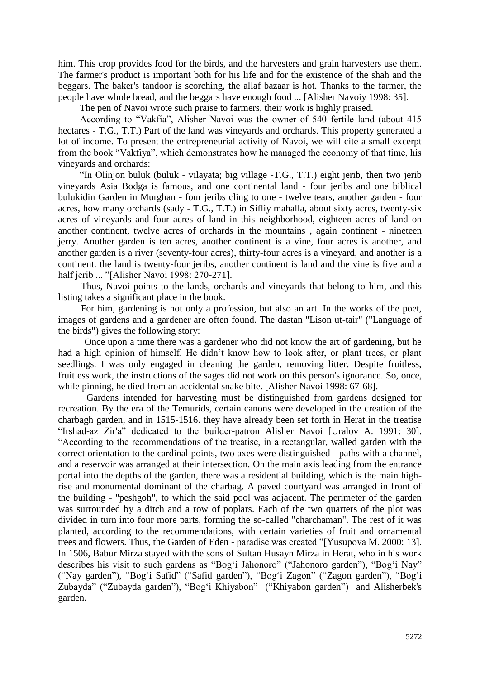him. This crop provides food for the birds, and the harvesters and grain harvesters use them. The farmer's product is important both for his life and for the existence of the shah and the beggars. The baker's tandoor is scorching, the allaf bazaar is hot. Thanks to the farmer, the people have whole bread, and the beggars have enough food ... [Alisher Navoiy 1998: 35].

The pen of Navoi wrote such praise to farmers, their work is highly praised.

According to "Vakfia", Alisher Navoi was the owner of 540 fertile land (about 415 hectares - T.G., T.T.) Part of the land was vineyards and orchards. This property generated a lot of income. To present the entrepreneurial activity of Navoi, we will cite a small excerpt from the book "Vakfiya", which demonstrates how he managed the economy of that time, his vineyards and orchards:

"In Olinjon buluk (buluk - vilayata; big village -T.G., T.T.) eight jerib, then two jerib vineyards Asia Bodga is famous, and one continental land - four jeribs and one biblical bulukidin Garden in Murghan - four jeribs cling to one - twelve tears, another garden - four acres, how many orchards (sady - T.G., T.T.) in Sifliy mahalla, about sixty acres, twenty-six acres of vineyards and four acres of land in this neighborhood, eighteen acres of land on another continent, twelve acres of orchards in the mountains , again continent - nineteen jerry. Another garden is ten acres, another continent is a vine, four acres is another, and another garden is a river (seventy-four acres), thirty-four acres is a vineyard, and another is a continent. the land is twenty-four jeribs, another continent is land and the vine is five and a half jerib ... "[Alisher Navoi 1998: 270-271].

Thus, Navoi points to the lands, orchards and vineyards that belong to him, and this listing takes a significant place in the book.

For him, gardening is not only a profession, but also an art. In the works of the poet, images of gardens and a gardener are often found. The dastan "Lison ut-tair" ("Language of the birds") gives the following story:

 Once upon a time there was a gardener who did not know the art of gardening, but he had a high opinion of himself. He didn't know how to look after, or plant trees, or plant seedlings. I was only engaged in cleaning the garden, removing litter. Despite fruitless, fruitless work, the instructions of the sages did not work on this person's ignorance. So, once, while pinning, he died from an accidental snake bite. [Alisher Navoi 1998: 67-68].

Gardens intended for harvesting must be distinguished from gardens designed for recreation. By the era of the Temurids, certain canons were developed in the creation of the charbagh garden, and in 1515-1516. they have already been set forth in Herat in the treatise "Irshad-az Zir'a" dedicated to the builder-patron Alisher Navoi [Uralov A. 1991: 30]. "According to the recommendations of the treatise, in a rectangular, walled garden with the correct orientation to the cardinal points, two axes were distinguished - paths with a channel, and a reservoir was arranged at their intersection. On the main axis leading from the entrance portal into the depths of the garden, there was a residential building, which is the main highrise and monumental dominant of the charbag. A paved courtyard was arranged in front of the building - "peshgoh", to which the said pool was adjacent. The perimeter of the garden was surrounded by a ditch and a row of poplars. Each of the two quarters of the plot was divided in turn into four more parts, forming the so-called "charchaman". The rest of it was planted, according to the recommendations, with certain varieties of fruit and ornamental trees and flowers. Thus, the Garden of Eden - paradise was created "[Yusupova M. 2000: 13]. In 1506, Babur Mirza stayed with the sons of Sultan Husayn Mirza in Herat, who in his work describes his visit to such gardens as "Bog'i Jahonoro" ("Jahonoro garden"), "Bog'i Nay" ("Nay garden"), "Bog'i Safid" ("Safid garden"), "Bog'i Zagon" ("Zagon garden"), "Bog'i Zubayda" ("Zubayda garden"), "Bog'i Khiyabon" ("Khiyabon garden") and Alisherbek's garden.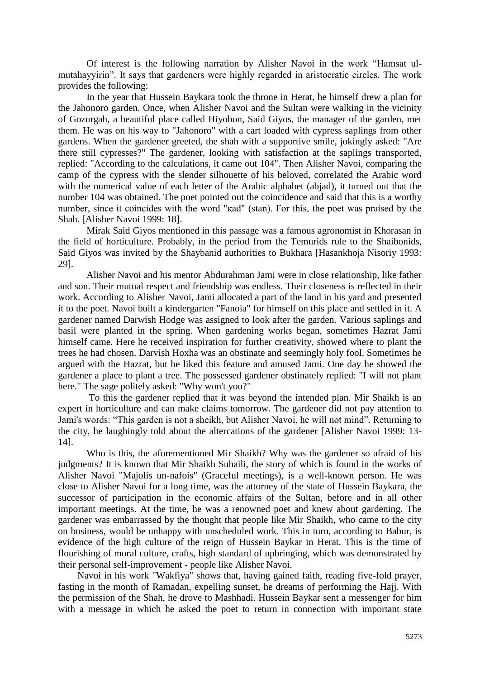Of interest is the following narration by Alisher Navoi in the work "Hamsat ulmutahayyirin". It says that gardeners were highly regarded in aristocratic circles. The work provides the following:

In the year that Hussein Baykara took the throne in Herat, he himself drew a plan for the Jahonoro garden. Once, when Alisher Navoi and the Sultan were walking in the vicinity of Gozurgah, a beautiful place called Hiyobon, Said Giyos, the manager of the garden, met them. He was on his way to "Jahonoro" with a cart loaded with cypress saplings from other gardens. When the gardener greeted, the shah with a supportive smile, jokingly asked: "Are there still cypresses?" The gardener, looking with satisfaction at the saplings transported, replied: "According to the calculations, it came out 104". Then Alisher Navoi, comparing the camp of the cypress with the slender silhouette of his beloved, correlated the Arabic word with the numerical value of each letter of the Arabic alphabet (abjad), it turned out that the number 104 was obtained. The poet pointed out the coincidence and said that this is a worthy number, since it coincides with the word "қad" (stan). For this, the poet was praised by the Shah. [Alisher Navoi 1999: 18].

Mirak Said Giyos mentioned in this passage was a famous agronomist in Khorasan in the field of horticulture. Probably, in the period from the Temurids rule to the Shaibonids, Said Giyos was invited by the Shaybanid authorities to Bukhara [Hasankhoja Nisoriy 1993: 29].

Alisher Navoi and his mentor Abdurahman Jami were in close relationship, like father and son. Their mutual respect and friendship was endless. Their closeness is reflected in their work. According to Alisher Navoi, Jami allocated a part of the land in his yard and presented it to the poet. Navoi built a kindergarten "Fanoia" for himself on this place and settled in it. A gardener named Darwish Hodge was assigned to look after the garden. Various saplings and basil were planted in the spring. When gardening works began, sometimes Hazrat Jami himself came. Here he received inspiration for further creativity, showed where to plant the trees he had chosen. Darvish Hoxha was an obstinate and seemingly holy fool. Sometimes he argued with the Hazrat, but he liked this feature and amused Jami. One day he showed the gardener a place to plant a tree. The possessed gardener obstinately replied: "I will not plant here." The sage politely asked: "Why won't you?"

To this the gardener replied that it was beyond the intended plan. Mir Shaikh is an expert in horticulture and can make claims tomorrow. The gardener did not pay attention to Jami's words: "This garden is not a sheikh, but Alisher Navoi, he will not mind". Returning to the city, he laughingly told about the altercations of the gardener [Alisher Navoi 1999: 13- 14].

Who is this, the aforementioned Mir Shaikh? Why was the gardener so afraid of his judgments? It is known that Mir Shaikh Suhaili, the story of which is found in the works of Alisher Navoi "Majolis un-nafois" (Graceful meetings), is a well-known person. He was close to Alisher Navoi for a long time, was the attorney of the state of Hussein Baykara, the successor of participation in the economic affairs of the Sultan, before and in all other important meetings. At the time, he was a renowned poet and knew about gardening. The gardener was embarrassed by the thought that people like Mir Shaikh, who came to the city on business, would be unhappy with unscheduled work. This in turn, according to Babur, is evidence of the high culture of the reign of Hussein Baykar in Herat. This is the time of flourishing of moral culture, crafts, high standard of upbringing, which was demonstrated by their personal self-improvement - people like Alisher Navoi.

Navoi in his work "Wakfiya" shows that, having gained faith, reading five-fold prayer, fasting in the month of Ramadan, expelling sunset, he dreams of performing the Hajj. With the permission of the Shah, he drove to Mashhadi. Hussein Baykar sent a messenger for him with a message in which he asked the poet to return in connection with important state